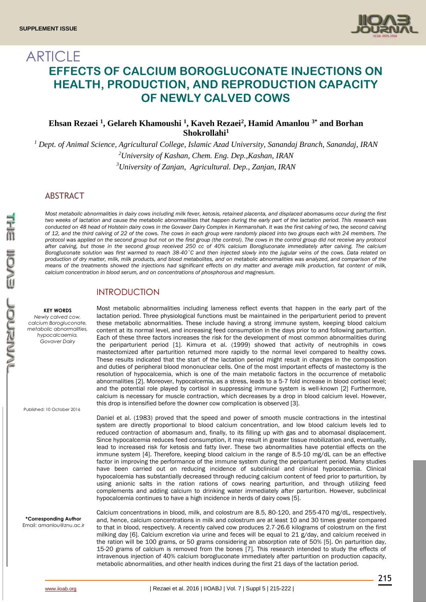

# **ARTICLE EFFECTS OF CALCIUM BOROGLUCONATE INJECTIONS ON HEALTH, PRODUCTION, AND REPRODUCTION CAPACITY OF NEWLY CALVED COWS**

## **Ehsan Rezaei <sup>1</sup> , Gelareh Khamoushi <sup>1</sup> , Kaveh Rezaei<sup>2</sup> , Hamid Amanlou 3\* and Borhan Shokrollahi<sup>1</sup>**

*<sup>1</sup> Dept. of Animal Science, Agricultural College, Islamic Azad University, Sanandaj Branch, Sanandaj, IRAN <sup>2</sup>University of Kashan, Chem. Eng. Dep.,Kashan, IRAN <sup>3</sup>University of Zanjan, Agricultural. Dep., Zanjan, IRAN*

## ABSTRACT

*Most metabolic abnormalities in dairy cows including milk fever, ketosis, retained placenta, and displaced abomasums occur during the first two weeks of lactation and cause the metabolic abnormalities that happen during the early part of the lactation period. This research was*  conducted on 48 head of Holstein dairy cows in the Govaver Dairy Complex in Kermanshah. It was the first calving of two, the second calving *of 12, and the third calving of 22 of the cows. The cows in each group were randomly placed into two groups each with 24 members. The protocol was applied on the second group but not on the first group (the control). The cows in the control group did not receive any protocol after calving, but those in the second group received 250 cc of 40% calcium Borogluconate immediately after calving. The calcium Borogluconate solution was first warmed to reach 38-40˚C and then injected slowly into the jugular veins of the cows. Data related on production of dry matter, milk, milk products, and blood metabolites, and on metabolic abnormalities was analyzed, and comparison of the means of the treatments showed the injections had significant effects on dry matter and average milk production, fat content of milk, calcium concentration in blood serum, and on concentrations of phosphorous and magnesium.* 

## INTRODUCTION

**KEY WORDS** *Newly calved cow, calcium Borogluconate, metabolic abnormalities, hypocalcaemia, Govaver Dairy*

Published: 10 October 2016

Most metabolic abnormalities including lameness reflect events that happen in the early part of the lactation period. Three physiological functions must be maintained in the periparturient period to prevent these metabolic abnormalities. These include having a strong immune system, keeping blood calcium content at its normal level, and increasing feed consumption in the days prior to and following parturition. Each of these three factors increases the risk for the development of most common abnormalities during the periparturient period [1]. Kimura et al. (1999) showed that activity of neutrophils in cows mastectomized after parturition returned more rapidly to the normal level compared to healthy cows. These results indicated that the start of the lactation period might result in changes in the composition and duties of peripheral blood mononuclear cells. One of the most important effects of mastectomy is the resolution of hypocalcemia, which is one of the main metabolic factors in the occurrence of metabolic abnormalities [2]. Moreover, hypocalcemia, as a stress, leads to a 5-7 fold increase in blood cortisol level; and the potential role played by cortisol in suppressing immune system is well-known [2] Furthermore, calcium is necessary for muscle contraction, which decreases by a drop in blood calcium level. However, this drop is intensified before the downer cow complication is observed [3].

Daniel et al. (1983) proved that the speed and power of smooth muscle contractions in the intestinal system are directly proportional to blood calcium concentration, and low blood calcium levels led to reduced contraction of abomasum and, finally, to its filling up with gas and to abomasal displacement. Since hypocalcemia reduces feed consumption, it may result in greater tissue mobilization and, eventually, lead to increased risk for ketosis and fatty liver. These two abnormalities have potential effects on the immune system [4]. Therefore, keeping blood calcium in the range of 8.5-10 mg/dL can be an effective factor in improving the performance of the immune system during the periparturient period. Many studies have been carried out on reducing incidence of subclinical and clinical hypocalcemia. Clinical hypocalcemia has substantially decreased through reducing calcium content of feed prior to parturition, by using anionic salts in the ration rations of cows nearing parturition, and through utilizing feed complements and adding calcium to drinking water immediately after parturition. However, subclinical hypocalcemia continues to have a high incidence in herds of dairy cows [5].

Calcium concentrations in blood, milk, and colostrum are 8.5, 80-120, and 255-470 mg/dL, respectively, and, hence, calcium concentrations in milk and colostrum are at least 10 and 30 times greater compared to that in blood, respectively. A recently calved cow produces 2.7-26.6 kilograms of colostrum on the first milking day [6]. Calcium excretion via urine and feces will be equal to 21 g/day, and calcium received in the ration will be 100 grams, or 50 grams considering an absorption rate of 50% [5]. On parturition day, 15-20 grams of calcium is removed from the bones [7]. This research intended to study the effects of intravenous injection of 40% calcium borogluconate immediately after parturition on production capacity, metabolic abnormalities, and other health indices during the first 21 days of the lactation period.

**\*Corresponding Author** Email: amanlou@znu.ac.ir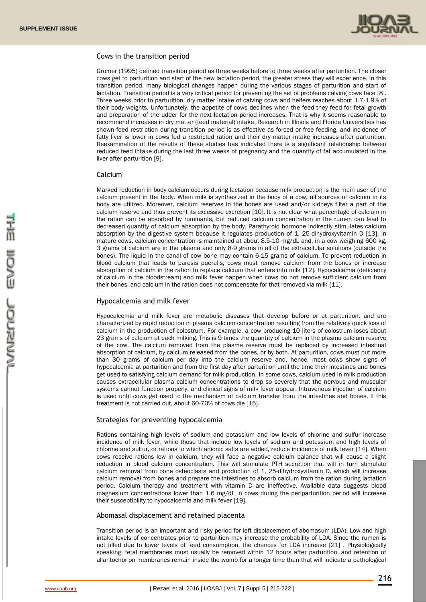

### Cows in the transition period

Gromer (1995) defined transition period as three weeks before to three weeks after parturition. The closer cows get to parturition and start of the new lactation period, the greater stress they will experience. In this transition period, many biological changes happen during the various stages of parturition and start of lactation. Transition period is a very critical period for preventing the set of problems calving cows face [8]. Three weeks prior to parturition, dry matter intake of calving cows and heifers reaches about 1.7-1.9% of their body weights. Unfortunately, the appetite of cows declines when the feed they feed for fetal growth and preparation of the udder for the next lactation period increases. That is why it seems reasonable to recommend increases in dry matter (feed material) intake. Research in Illinois and Florida Universities has shown feed restriction during transition period is as effective as forced or free feeding, and incidence of fatty liver is lower in cows fed a restricted ration and their dry matter intake increases after parturition. Reexamination of the results of these studies has indicated there is a significant relationship between reduced feed intake during the last three weeks of pregnancy and the quantity of fat accumulated in the liver after parturition [9].

### Calcium

Marked reduction in body calcium occurs during lactation because milk production is the main user of the calcium present in the body. When milk is synthesized in the body of a cow, all sources of calcium in its body are utilized. Moreover, calcium reserves in the bones are used and/or kidneys filter a part of the calcium reserve and thus prevent its excessive excretion [10]. It is not clear what percentage of calcium in the ration can be absorbed by ruminants, but reduced calcium concentration in the rumen can lead to decreased quantity of calcium absorption by the body. Parathyroid hormone indirectly stimulates calcium absorption by the digestive system because it regulates production of 1, 25-dihydroxyvitamin D [13]. In mature cows, calcium concentration is maintained at about 8.5-10 mg/dL and, in a cow weighing 600 kg, 3 grams of calcium are in the plasma and only 8-9 grams in all of the extracellular solutions (outside the bones). The liquid in the canal of cow bone may contain 6-15 grams of calcium. To prevent reduction in blood calcium that leads to paresis pueralis, cows must remove calcium from the bones or increase absorption of calcium in the ration to replace calcium that enters into milk [12]. Hypocalcemia (deficiency of calcium in the bloodstream) and milk fever happen when cows do not remove sufficient calcium from their bones, and calcium in the ration does not compensate for that removed via milk [11].

### Hypocalcemia and milk fever

Hypocalcemia and milk fever are metabolic diseases that develop before or at parturition, and are characterized by rapid reduction in plasma calcium concentration resulting from the relatively quick loss of calcium in the production of colostrum. For example, a cow producing 10 liters of colostrum loses about 23 grams of calcium at each milking. This is 9 times the quantity of calcium in the plasma calcium reserve of the cow. The calcium removed from the plasma reserve must be replaced by increased intestinal absorption of calcium, by calcium released from the bones, or by both. At parturition, cows must put more than 30 grams of calcium per day into the calcium reserve and, hence, most cows show signs of hypocalcemia at parturition and from the first day after parturition until the time their intestines and bones get used to satisfying calcium demand for milk production. In some cows, calcium used in milk production causes extracellular plasma calcium concentrations to drop so severely that the nervous and muscular systems cannot function properly, and clinical signs of milk fever appear. Intravenous injection of calcium is used until cows get used to the mechanism of calcium transfer from the intestines and bones. If this treatment is not carried out, about 60-70% of cows die [15].

### Strategies for preventing hypocalcemia

Rations containing high levels of sodium and potassium and low levels of chlorine and sulfur increase incidence of milk fever, while those that include low levels of sodium and potassium and high levels of chlorine and sulfur, or rations to which anionic salts are added, reduce incidence of milk fever [14]. When cows receive rations low in calcium, they will face a negative calcium balance that will cause a slight reduction in blood calcium concentration. This will stimulate PTH secretion that will in turn stimulate calcium removal from bone osteoclasts and production of 1, 25-dihydroxyvitamin D, which will increase calcium removal from bones and prepare the intestines to absorb calcium from the ration during lactation period. Calcium therapy and treatment with vitamin D are ineffective. Available data suggests blood magnesium concentrations lower than 1.6 mg/dL in cows during the periparturition period will increase their susceptibility to hypocalcemia and milk fever [19].

### Abomasal displacement and retained placenta

Transition period is an important and risky period for left displacement of abomasum (LDA). Low and high intake levels of concentrates prior to parturition may increase the probability of LDA. Since the rumen is not filled due to lower levels of feed consumption, the chances for LDA increase [21] . Physiologically speaking, fetal membranes must usually be removed within 12 hours after parturition, and retention of allantochorion membranes remain inside the womb for a longer time than that will indicate a pathological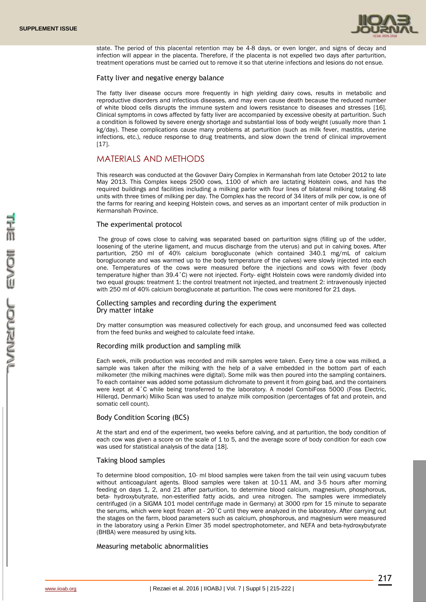

state. The period of this placental retention may be 4-8 days, or even longer, and signs of decay and infection will appear in the placenta. Therefore, if the placenta is not expelled two days after parturition, treatment operations must be carried out to remove it so that uterine infections and lesions do not ensue.

### Fatty liver and negative energy balance

The fatty liver disease occurs more frequently in high yielding dairy cows, results in metabolic and reproductive disorders and infectious diseases, and may even cause death because the reduced number of white blood cells disrupts the immune system and lowers resistance to diseases and stresses [16]. Clinical symptoms in cows affected by fatty liver are accompanied by excessive obesity at parturition. Such a condition is followed by severe energy shortage and substantial loss of body weight (usually more than 1 kg/day). These complications cause many problems at parturition (such as milk fever, mastitis, uterine infections, etc.), reduce response to drug treatments, and slow down the trend of clinical improvement [17].

## MATERIALS AND METHODS

This research was conducted at the Govaver Dairy Complex in Kermanshah from late October 2012 to late May 2013. This Complex keeps 2500 cows, 1100 of which are lactating Holstein cows, and has the required buildings and facilities including a milking parlor with four lines of bilateral milking totaling 48 units with three times of milking per day. The Complex has the record of 34 liters of milk per cow, is one of the farms for rearing and keeping Holstein cows, and serves as an important center of milk production in Kermanshah Province.

### The experimental protocol

The group of cows close to calving was separated based on parturition signs (filling up of the udder, loosening of the uterine ligament, and mucus discharge from the uterus) and put in calving boxes. After parturition, 250 ml of 40% calcium borogluconate (which contained 340.1 mg/mL of calcium borogluconate and was warmed up to the body temperature of the calves) were slowly injected into each one. Temperatures of the cows were measured before the injections and cows with fever (body temperature higher than 39.4˚C) were not injected. Forty- eight Holstein cows were randomly divided into two equal groups: treatment 1: the control treatment not injected, and treatment 2: intravenously injected with 250 ml of 40% calcium borogluconate at parturition. The cows were monitored for 21 days.

### Collecting samples and recording during the experiment Dry matter intake

Dry matter consumption was measured collectively for each group, and unconsumed feed was collected from the feed bunks and weighed to calculate feed intake.

### Recording milk production and sampling milk

Each week, milk production was recorded and milk samples were taken. Every time a cow was milked, a sample was taken after the milking with the help of a valve embedded in the bottom part of each milkometer (the milking machines were digital). Some milk was then poured into the sampling containers. To each container was added some potassium dichromate to prevent it from going bad, and the containers were kept at 4°C while being transferred to the laboratory. A model CombiFoss 5000 (Foss Electric, Hillerqd, Denmark) Milko Scan was used to analyze milk composition (percentages of fat and protein, and somatic cell count).

### Body Condition Scoring (BCS)

At the start and end of the experiment, two weeks before calving, and at parturition, the body condition of each cow was given a score on the scale of 1 to 5, and the average score of body condition for each cow was used for statistical analysis of the data [18].

### Taking blood samples

To determine blood composition, 10- ml blood samples were taken from the tail vein using vacuum tubes without anticoagulant agents. Blood samples were taken at 10-11 AM, and 3-5 hours after morning feeding on days 1, 2, and 21 after parturition, to determine blood calcium, magnesium, phosphorous, beta- hydroxybutyrate, non-esterified fatty acids, and urea nitrogen. The samples were immediately centrifuged (in a SIGMA 101 model centrifuge made in Germany) at 3000 rpm for 15 minute to separate the serums, which were kept frozen at - 20˚C until they were analyzed in the laboratory. After carrying out the stages on the farm, blood parameters such as calcium, phosphorous, and magnesium were measured in the laboratory using a Perkin Elmer 35 model spectrophotometer, and NEFA and beta-hydroxybutyrate (BHBA) were measured by using kits.

### Measuring metabolic abnormalities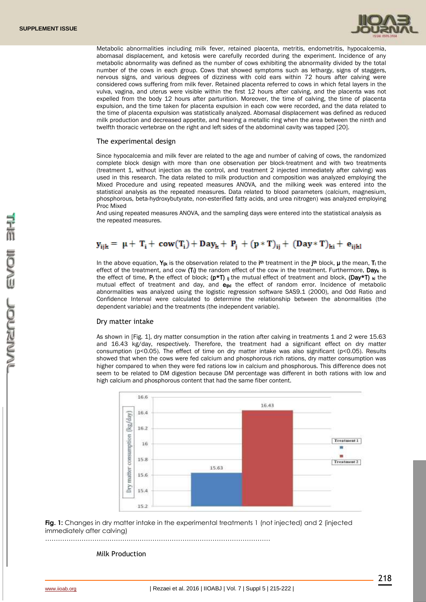

Metabolic abnormalities including milk fever, retained placenta, metritis, endometritis, hypocalcemia, abomasal displacement, and ketosis were carefully recorded during the experiment. Incidence of any metabolic abnormality was defined as the number of cows exhibiting the abnormality divided by the total number of the cows in each group. Cows that showed symptoms such as lethargy, signs of staggers, nervous signs, and various degrees of dizziness with cold ears within 72 hours after calving were considered cows suffering from milk fever. Retained placenta referred to cows in which fetal layers in the vulva, vagina, and uterus were visible within the first 12 hours after calving, and the placenta was not expelled from the body 12 hours after parturition. Moreover, the time of calving, the time of placenta expulsion, and the time taken for placenta expulsion in each cow were recorded, and the data related to the time of placenta expulsion was statistically analyzed. Abomasal displacement was defined as reduced milk production and decreased appetite, and hearing a metallic ring when the area between the ninth and twelfth thoracic vertebrae on the right and left sides of the abdominal cavity was tapped [20].

### The experimental design

Since hypocalcemia and milk fever are related to the age and number of calving of cows, the randomized complete block design with more than one observation per block-treatment and with two treatments (treatment 1, without injection as the control, and treatment 2 injected immediately after calving) was used in this research. The data related to milk production and composition was analyzed employing the Mixed Procedure and using repeated measures ANOVA, and the milking week was entered into the statistical analysis as the repeated measures. Data related to blood parameters (calcium, magnesium, phosphorous, beta-hydroxybutyrate, non-esterified fatty acids, and urea nitrogen) was analyzed employing Proc Mixed

And using repeated measures ANOVA, and the sampling days were entered into the statistical analysis as the repeated measures.

## $y_{ijk} = \mu + T_i + \text{row}(T_i) + \text{Day}_k + P_i + (p * T)_{ii} + (\text{Day} * T)_{ki} + e_{iikl}$

In the above equation, Y<sub>IIK</sub> is the observation related to the i<sup>th</sup> treatment in the j<sup>th</sup> block,  $\mu$  the mean, T<sub>i</sub> the effect of the treatment, and cow  $(T_i)$  the random effect of the cow in the treatment. Furthermore, Day<sub>k</sub> is the effect of time, P<sub>i</sub> the effect of block; (p\*T) ij the mutual effect of treatment and block, (Day\*T) ki the mutual effect of treatment and day, and  $e_{ijk}$  the effect of random error. Incidence of metabolic abnormalities was analyzed using the logistic regression software SAS9.1 (2000), and Odd Ratio and Confidence Interval were calculated to determine the relationship between the abnormalities (the dependent variable) and the treatments (the independent variable).

### Dry matter intake

As shown in [Fig. 1], dry matter consumption in the ration after calving in treatments 1 and 2 were 15.63 and 16.43 kg/day, respectively. Therefore, the treatment had a significant effect on dry matter consumption ( $p \le 0.05$ ). The effect of time on dry matter intake was also significant ( $p \le 0.05$ ). Results showed that when the cows were fed calcium and phosphorous rich rations, dry matter consumption was higher compared to when they were fed rations low in calcium and phosphorous. This difference does not seem to be related to DM digestion because DM percentage was different in both rations with low and high calcium and phosphorous content that had the same fiber content.



**Fig. 1:** Changes in dry matter intake in the experimental treatments 1 (not injected) and 2 (injected immediately after calving)



### Milk Production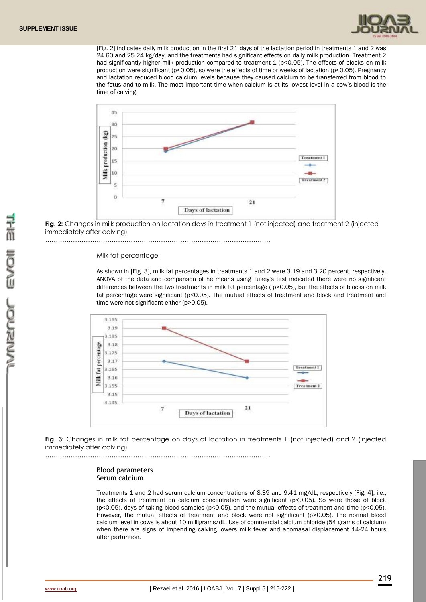

[Fig. 2] indicates daily milk production in the first 21 days of the lactation period in treatments 1 and 2 was 24.60 and 25.24 kg/day, and the treatments had significant effects on daily milk production. Treatment 2 had significantly higher milk production compared to treatment 1 (p<0.05). The effects of blocks on milk production were significant (p<0.05), so were the effects of time or weeks of lactation (p<0.05). Pregnancy and lactation reduced blood calcium levels because they caused calcium to be transferred from blood to the fetus and to milk. The most important time when calcium is at its lowest level in a cow's blood is the time of calving.



**Fig. 2:** Changes in milk production on lactation days in treatment 1 (not injected) and treatment 2 (injected immediately after calving)

……………………………………………………………………………………………

#### Milk fat percentage

As shown in [Fig. 3], milk fat percentages in treatments 1 and 2 were 3.19 and 3.20 percent, respectively. ANOVA of the data and comparison of he means using Tukey's test indicated there were no significant differences between the two treatments in milk fat percentage ( $p>0.05$ ), but the effects of blocks on milk fat percentage were significant (p<0.05). The mutual effects of treatment and block and treatment and time were not significant either (p>0.05).



**Fig. 3:** Changes in milk fat percentage on days of lactation in treatments 1 (not injected) and 2 (injected immediately after calving)

……………………………………………………………………………………………

### Blood parameters Serum calcium

Treatments 1 and 2 had serum calcium concentrations of 8.39 and 9.41 mg/dL, respectively [Fig. 4]; i.e., the effects of treatment on calcium concentration were significant (p<0.05). So were those of block (p<0.05), days of taking blood samples (p<0.05), and the mutual effects of treatment and time (p<0.05). However, the mutual effects of treatment and block were not significant (p>0.05). The normal blood calcium level in cows is about 10 milligrams/dL. Use of commercial calcium chloride (54 grams of calcium) when there are signs of impending calving lowers milk fever and abomasal displacement 14-24 hours after parturition.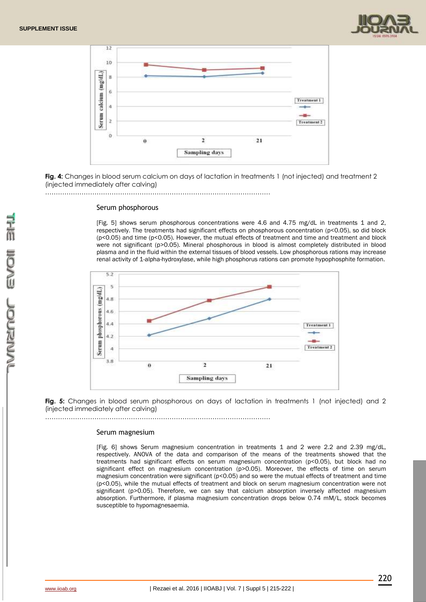



**Fig. 4:** Changes in blood serum calcium on days of lactation in treatments 1 (not injected) and treatment 2 (injected immediately after calving)

……………………………………………………………………………………………

### Serum phosphorous

[Fig. 5] shows serum phosphorous concentrations were 4.6 and 4.75 mg/dL in treatments 1 and 2, respectively. The treatments had significant effects on phosphorous concentration (p<0.05), so did block (p<0.05) and time (p<0.05). However, the mutual effects of treatment and time and treatment and block were not significant (p>0.05). Mineral phosphorous in blood is almost completely distributed in blood plasma and in the fluid within the external tissues of blood vessels. Low phosphorous rations may increase renal activity of 1-alpha-hydroxylase, while high phosphorus rations can promote hypophosphite formation.



**Fig. 5:** Changes in blood serum phosphorous on days of lactation in treatments 1 (not injected) and 2 (injected immediately after calving)

……………………………………………………………………………………………

### Serum magnesium

[Fig. 6] shows Serum magnesium concentration in treatments 1 and 2 were 2.2 and 2.39 mg/dL, respectively. ANOVA of the data and comparison of the means of the treatments showed that the treatments had significant effects on serum magnesium concentration (p<0.05), but block had no significant effect on magnesium concentration (p>0.05). Moreover, the effects of time on serum magnesium concentration were significant (p<0.05) and so were the mutual effects of treatment and time (p<0.05), while the mutual effects of treatment and block on serum magnesium concentration were not significant (p>0.05). Therefore, we can say that calcium absorption inversely affected magnesium absorption. Furthermore, if plasma magnesium concentration drops below 0.74 mM/L, stock becomes susceptible to hypomagnesaemia.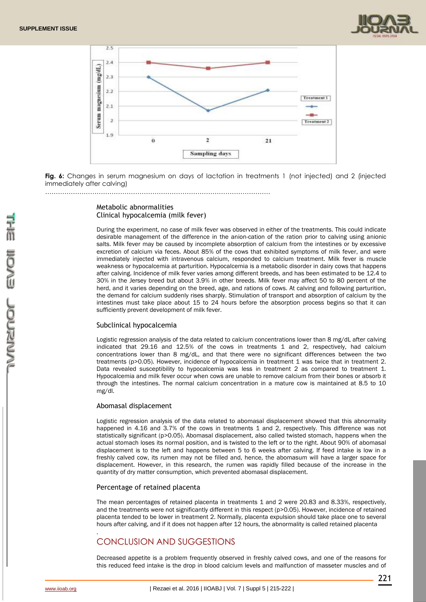



**Fig. 6:** Changes in serum magnesium on days of lactation in treatments 1 (not injected) and 2 (injected immediately after calving)

### Metabolic abnormalities Clinical hypocalcemia (milk fever)

……………………………………………………………………………………………

During the experiment, no case of milk fever was observed in either of the treatments. This could indicate desirable management of the difference in the anion-cation of the ration prior to calving using anionic salts. Milk fever may be caused by incomplete absorption of calcium from the intestines or by excessive excretion of calcium via feces. About 85% of the cows that exhibited symptoms of milk fever, and were immediately injected with intravenous calcium, responded to calcium treatment. Milk fever is muscle weakness or hypocalcemia at parturition. Hypocalcemia is a metabolic disorder in dairy cows that happens after calving. Incidence of milk fever varies among different breeds, and has been estimated to be 12.4 to 30% in the Jersey breed but about 3.9% in other breeds. Milk fever may affect 50 to 80 percent of the herd, and it varies depending on the breed, age, and rations of cows. At calving and following parturition, the demand for calcium suddenly rises sharply. Stimulation of transport and absorption of calcium by the intestines must take place about 15 to 24 hours before the absorption process begins so that it can sufficiently prevent development of milk fever.

### Subclinical hypocalcemia

Logistic regression analysis of the data related to calcium concentrations lower than 8 mg/dL after calving indicated that 29.16 and 12.5% of the cows in treatments 1 and 2, respectively, had calcium concentrations lower than 8 mg/dL, and that there were no significant differences between the two treatments (p>0.05). However, incidence of hypocalcemia in treatment 1 was twice that in treatment 2. Data revealed susceptibility to hypocalcemia was less in treatment 2 as compared to treatment 1. Hypocalcemia and milk fever occur when cows are unable to remove calcium from their bones or absorb it through the intestines. The normal calcium concentration in a mature cow is maintained at 8.5 to 10 mg/dl.

### Abomasal displacement

Logistic regression analysis of the data related to abomasal displacement showed that this abnormality happened in 4.16 and 3.7% of the cows in treatments 1 and 2, respectively. This difference was not statistically significant (p>0.05). Abomasal displacement, also called twisted stomach, happens when the actual stomach loses its normal position, and is twisted to the left or to the right. About 90% of abomasal displacement is to the left and happens between 5 to 6 weeks after calving. If feed intake is low in a freshly calved cow, its rumen may not be filled and, hence, the abomasum will have a larger space for displacement. However, in this research, the rumen was rapidly filled because of the increase in the quantity of dry matter consumption, which prevented abomasal displacement.

### Percentage of retained placenta

The mean percentages of retained placenta in treatments 1 and 2 were 20.83 and 8.33%, respectively, and the treatments were not significantly different in this respect (p>0.05). However, incidence of retained placenta tended to be lower in treatment 2. Normally, placenta expulsion should take place one to several hours after calving, and if it does not happen after 12 hours, the abnormality is called retained placenta

## . CONCLUSION AND SUGGESTIONS

Decreased appetite is a problem frequently observed in freshly calved cows, and one of the reasons for this reduced feed intake is the drop in blood calcium levels and malfunction of masseter muscles and of